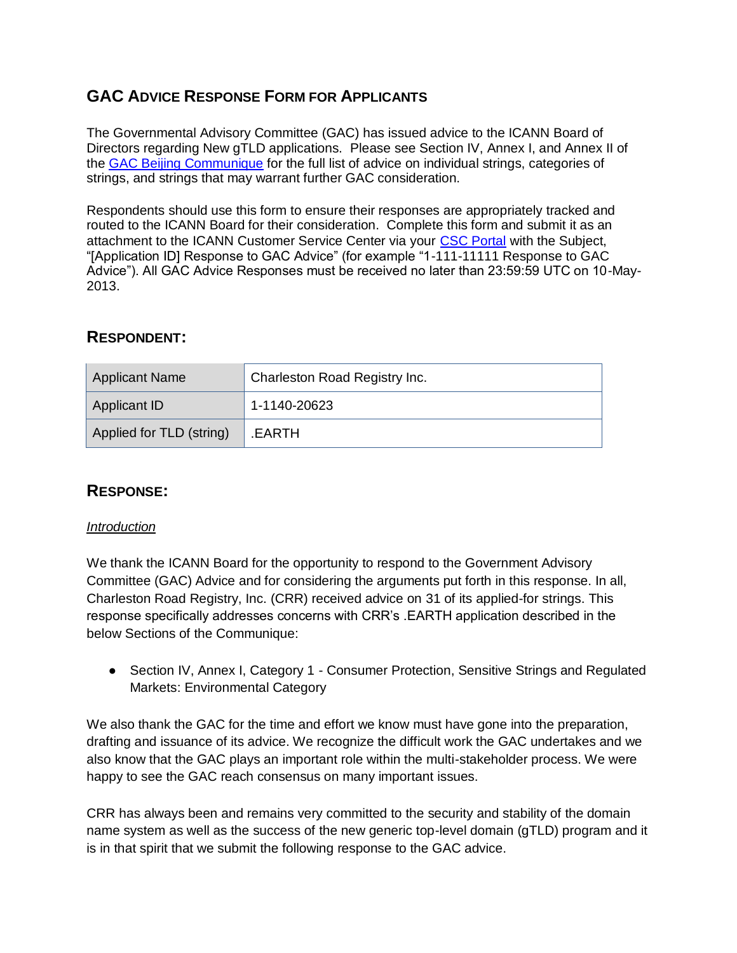# **GAC ADVICE RESPONSE FORM FOR APPLICANTS**

The Governmental Advisory Committee (GAC) has issued advice to the ICANN Board of Directors regarding New gTLD applications. Please see Section IV, Annex I, and Annex II of the [GAC Beijing Communique](http://www.icann.org/en/news/correspondence/gac-to-board-18apr13-en.pdf) for the full list of advice on individual strings, categories of strings, and strings that may warrant further GAC consideration.

Respondents should use this form to ensure their responses are appropriately tracked and routed to the ICANN Board for their consideration. Complete this form and submit it as an attachment to the ICANN Customer Service Center via your [CSC Portal](https://myicann.secure.force.com/) with the Subject, "[Application ID] Response to GAC Advice" (for example "1-111-11111 Response to GAC Advice"). All GAC Advice Responses must be received no later than 23:59:59 UTC on 10-May-2013.

# **RESPONDENT:**

| <b>Applicant Name</b>    | Charleston Road Registry Inc. |
|--------------------------|-------------------------------|
| Applicant ID             | 1-1140-20623                  |
| Applied for TLD (string) | .EARTH                        |

# **RESPONSE:**

#### *Introduction*

We thank the ICANN Board for the opportunity to respond to the Government Advisory Committee (GAC) Advice and for considering the arguments put forth in this response. In all, Charleston Road Registry, Inc. (CRR) received advice on 31 of its applied-for strings. This response specifically addresses concerns with CRR's .EARTH application described in the below Sections of the Communique:

● Section IV, Annex I, Category 1 - Consumer Protection, Sensitive Strings and Regulated Markets: Environmental Category

We also thank the GAC for the time and effort we know must have gone into the preparation, drafting and issuance of its advice. We recognize the difficult work the GAC undertakes and we also know that the GAC plays an important role within the multi-stakeholder process. We were happy to see the GAC reach consensus on many important issues.

CRR has always been and remains very committed to the security and stability of the domain name system as well as the success of the new generic top-level domain (gTLD) program and it is in that spirit that we submit the following response to the GAC advice.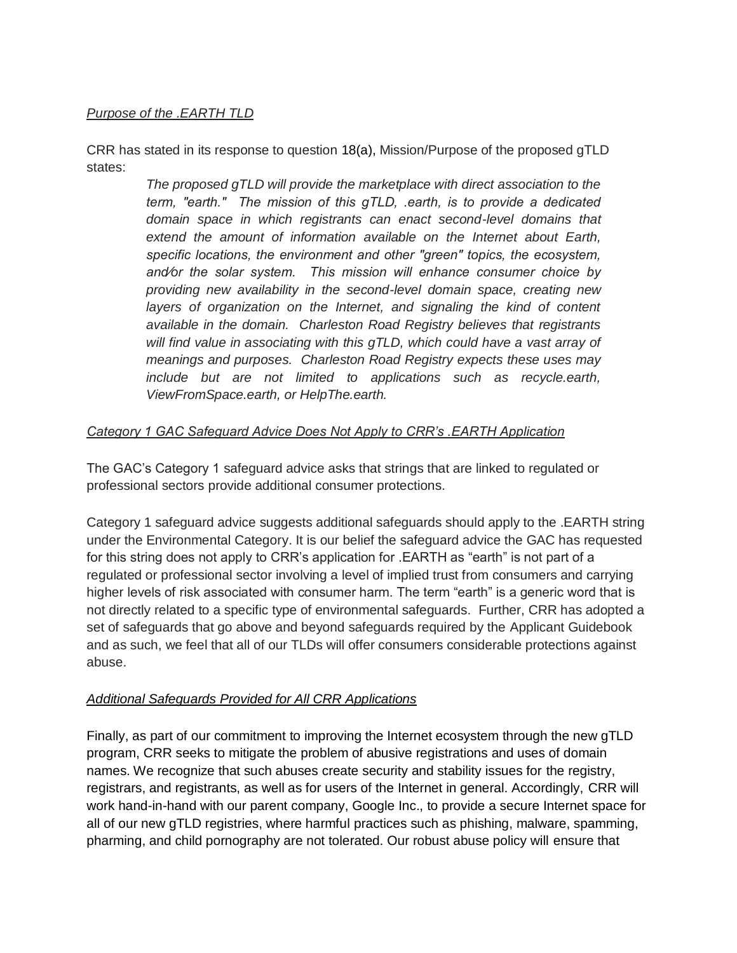#### *Purpose of the .EARTH TLD*

CRR has stated in its response to question 18(a), Mission/Purpose of the proposed gTLD states:

> *The proposed gTLD will provide the marketplace with direct association to the term, ʺearth.ʺ The mission of this gTLD, .earth, is to provide a dedicated domain space in which registrants can enact second-level domains that extend the amount of information available on the Internet about Earth,*  specific locations, the environment and other "green" topics, the ecosystem, *and⁄or the solar system. This mission will enhance consumer choice by providing new availability in the second-level domain space, creating new*  layers of organization on the Internet, and signaling the kind of content *available in the domain. Charleston Road Registry believes that registrants will find value in associating with this gTLD, which could have a vast array of meanings and purposes. Charleston Road Registry expects these uses may include but are not limited to applications such as recycle.earth, ViewFromSpace.earth, or HelpThe.earth.*

### *Category 1 GAC Safeguard Advice Does Not Apply to CRR's .EARTH Application*

The GAC's Category 1 safeguard advice asks that strings that are linked to regulated or professional sectors provide additional consumer protections.

Category 1 safeguard advice suggests additional safeguards should apply to the .EARTH string under the Environmental Category. It is our belief the safeguard advice the GAC has requested for this string does not apply to CRR's application for .EARTH as "earth" is not part of a regulated or professional sector involving a level of implied trust from consumers and carrying higher levels of risk associated with consumer harm. The term "earth" is a generic word that is not directly related to a specific type of environmental safeguards. Further, CRR has adopted a set of safeguards that go above and beyond safeguards required by the Applicant Guidebook and as such, we feel that all of our TLDs will offer consumers considerable protections against abuse.

#### *Additional Safeguards Provided for All CRR Applications*

Finally, as part of our commitment to improving the Internet ecosystem through the new gTLD program, CRR seeks to mitigate the problem of abusive registrations and uses of domain names. We recognize that such abuses create security and stability issues for the registry, registrars, and registrants, as well as for users of the Internet in general. Accordingly, CRR will work hand-in-hand with our parent company, Google Inc., to provide a secure Internet space for all of our new gTLD registries, where harmful practices such as phishing, malware, spamming, pharming, and child pornography are not tolerated. Our robust abuse policy will ensure that